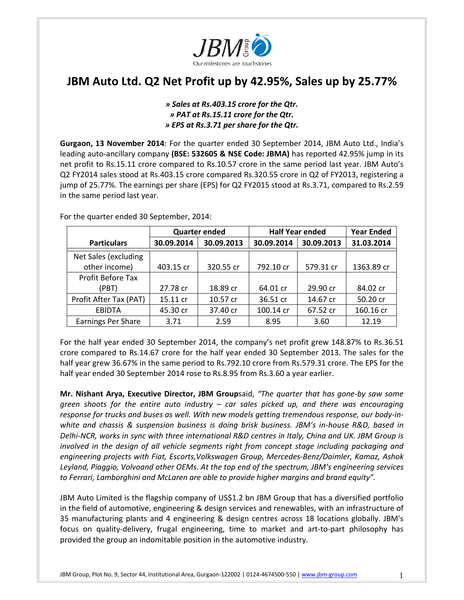

# **JBM Auto Ltd. Q2 Net Profit up by 42.95%, Sales up by 25.77%**

## *» Sales at Rs.403.15 crore for the Qtr. » PAT at Rs.15.11 crore for the Qtr. » EPS at Rs.3.71 per share for the Qtr.*

**Gurgaon, 13 November 2014**: For the quarter ended 30 September 2014, JBM Auto Ltd., India's leading auto‐ancillary company **(BSE: 532605 & NSE Code: JBMA)** has reported 42.95% jump in its net profit to Rs.15.11 crore compared to Rs.10.57 crore in the same period last year. JBM Auto's Q2 FY2014 sales stood at Rs.403.15 crore compared Rs.320.55 crore in Q2 of FY2013, registering a jump of 25.77%. The earnings per share (EPS) for Q2 FY2015 stood at Rs.3.71, compared to Rs.2.59 in the same period last year.

|                           | <b>Quarter ended</b> |            | <b>Half Year ended</b> |            | <b>Year Ended</b> |
|---------------------------|----------------------|------------|------------------------|------------|-------------------|
| <b>Particulars</b>        | 30.09.2014           | 30.09.2013 | 30.09.2014             | 30.09.2013 | 31.03.2014        |
| Net Sales (excluding      |                      |            |                        |            |                   |
| other income)             | 403.15 cr            | 320.55 cr  | 792.10 cr              | 579.31 cr  | 1363.89 cr        |
| Profit Before Tax         |                      |            |                        |            |                   |
| (PBT)                     | 27.78 cr             | 18.89 cr   | 64.01 cr               | 29.90 cr   | 84.02 cr          |
| Profit After Tax (PAT)    | 15.11 cr             | 10.57 cr   | 36.51 cr               | 14.67 cr   | 50.20 cr          |
| <b>EBIDTA</b>             | 45.30 cr             | 37.40 cr   | 100.14 cr              | 67.52 cr   | 160.16 cr         |
| <b>Earnings Per Share</b> | 3.71                 | 2.59       | 8.95                   | 3.60       | 12.19             |

For the quarter ended 30 September, 2014:

For the half year ended 30 September 2014, the company's net profit grew 148.87% to Rs.36.51 crore compared to Rs.14.67 crore for the half year ended 30 September 2013. The sales for the half year grew 36.67% in the same period to Rs.792.10 crore from Rs.579.31 crore. The EPS for the half year ended 30 September 2014 rose to Rs.8.95 from Rs.3.60 a year earlier.

**Mr. Nishant Arya, Executive Director, JBM Group**said, *"The quarter that has gone‐by saw some green shoots for the entire auto industry – car sales picked up, and there was encouraging response for trucks and buses as well. With new models getting tremendous response, our body‐in‐ white and chassis & suspension business is doing brisk business. JBM's in‐house R&D, based in Delhi‐NCR, works in sync with three international R&D centres in Italy, China and UK. JBM Group is involved in the design of all vehicle segments right from concept stage including packaging and engineering projects with Fiat, Escorts,Volkswagen Group, Mercedes‐Benz/Daimler, Kamaz, Ashok Leyland, Piaggio, Volvoand other OEMs. At the top end of the spectrum, JBM's engineering services to Ferrari, Lamborghini and McLaren are able to provide higher margins and brand equity".*

JBM Auto Limited is the flagship company of US\$1.2 bn JBM Group that has a diversified portfolio in the field of automotive, engineering & design services and renewables, with an infrastructure of 35 manufacturing plants and 4 engineering & design centres across 18 locations globally. JBM's focus on quality-delivery, frugal engineering, time to market and art-to-part philosophy has provided the group an indomitable position in the automotive industry.